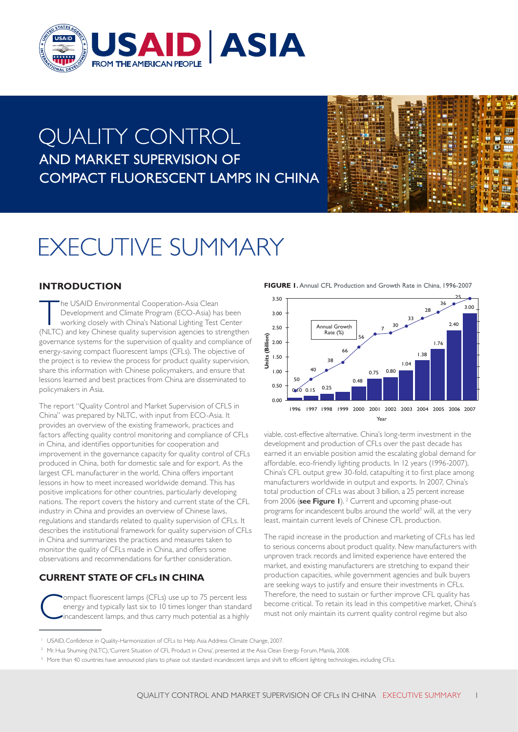

# **QUALITY CONTROL** AND MARKET SUPERVISION OF **COMPACT FLUORESCENT LAMPS IN CHINA**



# **EXECUTIVE SUMMARY**

# **INTRODUCTION**

The USAID Environmental Cooperation-Asia Clean<br>
Development and Climate Program (ECO-Asia) has been<br>
working closely with China's National Lighting Test Center<br>
(NLTC) and key Chinese quality supervision agencies to streng Development and Climate Program (ECO-Asia) has been (NLTC) and key Chinese quality supervision agencies to strengthen governance systems for the supervision of quality and compliance of energy-saving compact fluorescent lamps (CFLs). The objective of the project is to review the process for product quality supervision, share this information with Chinese policymakers, and ensure that lessons learned and best practices from China are disseminated to policymakers in Asia.

The report "Quality Control and Market Supervision of CFLS in China" was prepared by NLTC, with input from ECO-Asia. It provides an overview of the existing framework, practices and factors affecting quality control monitoring and compliance of CFLs in China, and identifies opportunities for cooperation and improvement in the governance capacity for quality control of CFLs produced in China, both for domestic sale and for export. As the largest CFL manufacturer in the world, China offers important lessons in how to meet increased worldwide demand. This has positive implications for other countries, particularly developing nations. The report covers the history and current state of the CFL industry in China and provides an overview of Chinese laws, regulations and standards related to quality supervision of CFLs. It describes the institutional framework for quality supervision of CFLs in China and summarizes the practices and measures taken to monitor the quality of CFLs made in China, and offers some observations and recommendations for further consideration.

# **CURRENT STATE OF CFLs IN CHINA**

Compact fluorescent lamps (CFLs) use up to 75 percent less<br>energy and typically last six to 10 times longer than standar<br>incandescent lamps, and thus carry much potential as a highly energy and typically last six to 10 times longer than standard incandescent lamps, and thus carry much potential as a highly

FIGURE I. Annual CFL Production and Growth Rate in China, 1996-2007



viable, cost-effective alternative. China's long-term investment in the development and production of CFLs over the past decade has earned it an enviable position amid the escalating global demand for affordable, eco-friendly lighting products. In 12 years (1996-2007), China's CFL output grew 30-fold, catapulting it to first place among manufacturers worldwide in output and exports. In 2007, China's total production of CFLs was about 3 billion, a 25 percent increase from 2006 (see Figure I). <sup>2</sup> Current and upcoming phase-out programs for incandescent bulbs around the world<sup>3</sup> will, at the very least, maintain current levels of Chinese CFL production.

The rapid increase in the production and marketing of CFLs has led to serious concerns about product quality. New manufacturers with unproven track records and limited experience have entered the market, and existing manufacturers are stretching to expand their production capacities, while government agencies and bulk buyers are seeking ways to justify and ensure their investments in CFLs. Therefore, the need to sustain or further improve CFL quality has become critical. To retain its lead in this competitive market, China's must not only maintain its current quality control regime but also

<sup>2</sup> Mr. Hua Shuming (NLTC), 'Current Situation of CFL Product in China', presented at the Asia Clean Energy Forum, Manila, 2008.

<sup>&</sup>lt;sup>1</sup> USAID, Confidence in Quality-Harmonization of CFLs to Help Asia Address Climate Change, 2007.

<sup>&</sup>lt;sup>3</sup> More than 40 countries have announced plans to phase out standard incandescent lamps and shift to efficient lighting technologies, including CFLs.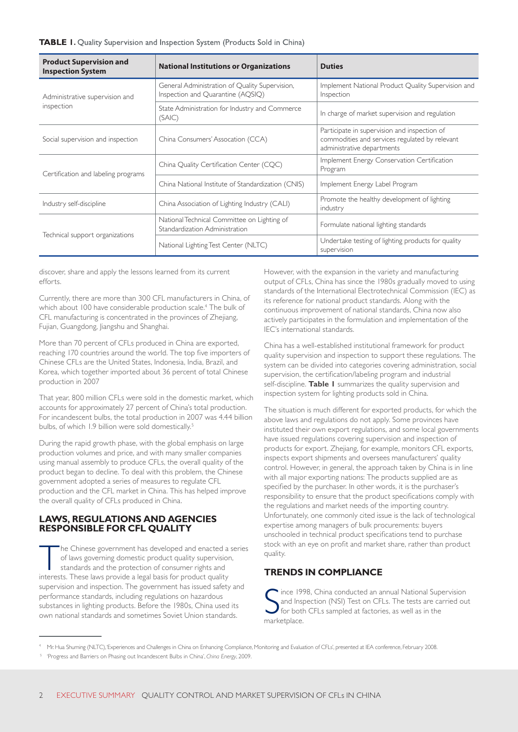| <b>Product Supervision and</b><br><b>Inspection System</b> | <b>National Institutions or Organizations</b>                                       | <b>Duties</b>                                                                                                                |
|------------------------------------------------------------|-------------------------------------------------------------------------------------|------------------------------------------------------------------------------------------------------------------------------|
| Administrative supervision and<br>inspection               | General Administration of Quality Supervision,<br>Inspection and Quarantine (AQSIQ) | Implement National Product Quality Supervision and<br>Inspection                                                             |
|                                                            | State Administration for Industry and Commerce<br>(SAIC)                            | In charge of market supervision and regulation                                                                               |
| Social supervision and inspection                          | China Consumers' Assocation (CCA)                                                   | Participate in supervision and inspection of<br>commodities and services regulated by relevant<br>administrative departments |
| Certification and labeling programs                        | China Quality Certification Center (CQC)                                            | Implement Energy Conservation Certification<br>Program                                                                       |
|                                                            | China National Institute of Standardization (CNIS)                                  | Implement Energy Label Program                                                                                               |
| Industry self-discipline                                   | China Association of Lighting Industry (CALI)                                       | Promote the healthy development of lighting<br>industry                                                                      |
| Technical support organizations                            | National Technical Committee on Lighting of<br>Standardization Administration       | Formulate national lighting standards                                                                                        |
|                                                            | National Lighting Test Center (NLTC)                                                | Undertake testing of lighting products for quality<br>supervision                                                            |

discover, share and apply the lessons learned from its current efforts.

Currently, there are more than 300 CFL manufacturers in China, of which about 100 have considerable production scale.<sup>4</sup> The bulk of CFL manufacturing is concentrated in the provinces of Zhejiang, Fujian, Guangdong, Jiangshu and Shanghai.

More than 70 percent of CFLs produced in China are exported, reaching 170 countries around the world. The top five importers of Chinese CFLs are the United States, Indonesia, India, Brazil, and Korea, which together imported about 36 percent of total Chinese production in 2007

That year, 800 million CFLs were sold in the domestic market, which accounts for approximately 27 percent of China's total production. For incandescent bulbs, the total production in 2007 was 4.44 billion bulbs, of which 1.9 billion were sold domestically.<sup>5</sup>

During the rapid growth phase, with the global emphasis on large production volumes and price, and with many smaller companies using manual assembly to produce CFLs, the overall quality of the product began to decline. To deal with this problem, the Chinese government adopted a series of measures to regulate CFL production and the CFL market in China. This has helped improve the overall quality of CFLs produced in China.

#### **LAWS, REGULATIONS AND AGENCIES RESPONSIBLE FOR CFL QUALITY**

The Chinese government has developed and enacted a series of laws governing domestic product quality supervision, standards and the protection of consumer rights and interests. These laws provide a legal basis for product quality supervision and inspection. The government has issued safety and performance standards, including regulations on hazardous substances in lighting products. Before the 1980s, China used its own national standards and sometimes Soviet Union standards.

However, with the expansion in the variety and manufacturing output of CFLs, China has since the 1980s gradually moved to using standards of the International Electrotechnical Commission (IEC) as its reference for national product standards. Along with the continuous improvement of national standards, China now also actively participates in the formulation and implementation of the IEC's international standards.

China has a well-established institutional framework for product quality supervision and inspection to support these regulations. The system can be divided into categories covering administration, social supervision, the certification/labeling program and industrial self-discipline. **Table 1** summarizes the quality supervision and inspection system for lighting products sold in China.

The situation is much different for exported products, for which the above laws and regulations do not apply. Some provinces have instituted their own export regulations, and some local governments have issued regulations covering supervision and inspection of products for export. Zhejiang, for example, monitors CFL exports, inspects export shipments and oversees manufacturers' quality control. However, in general, the approach taken by China is in line with all major exporting nations: The products supplied are as specified by the purchaser. In other words, it is the purchaser's responsibility to ensure that the product specifications comply with the regulations and market needs of the importing country. Unfortunately, one commonly cited issue is the lack of technological expertise among managers of bulk procurements: buyers unschooled in technical product specifications tend to purchase stock with an eye on profit and market share, rather than product quality.

# **TRENDS IN COMPLIANCE**

Since 19<br>
and Ins<br>
for botl<br>
marketplace. ince 1998, China conducted an annual National Supervision and Inspection (NSI) Test on CFLs. The tests are carried out for both CFLs sampled at factories, as well as in the

<sup>4</sup> Mr. Hua Shuming (NLTC), 'Experiences and Challenges in China on Enhancing Compliance, Monitoring and Evaluation of CFLs', presented at IEA conference, February 2008.

<sup>5</sup> 'Progress and Barriers on Phasing out Incandescent Bulbs in China', *China Energy*, 2009.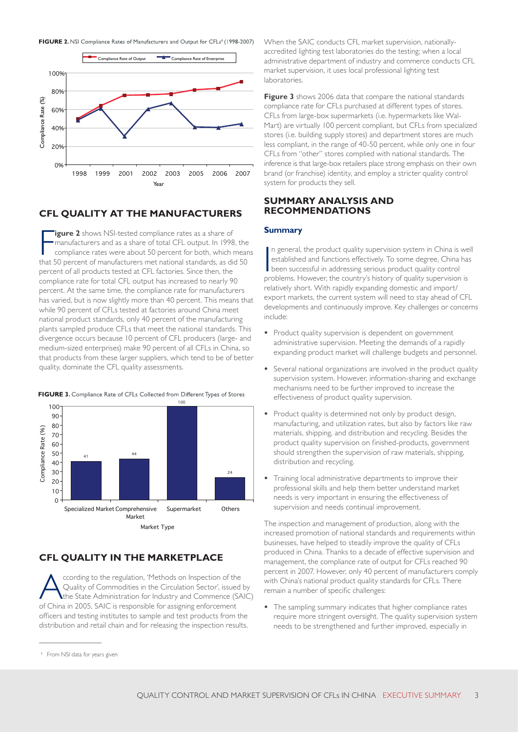FIGURE 2. NSI Compliance Rates of Manufacturers and Output for CFLs<sup>6</sup> (1998-2007)



#### **CFL QUALITY AT THE MANUFACTURERS**

**Figure 2** shows NSI-tested compliance rates as a share of manufacturers and as a share of total CFL output. In 1998, the compliance rates were about 50 percent for both, which mean that 50 percent of manufacturers met nat **igure 2** shows NSI-tested compliance rates as a share of manufacturers and as a share of total CFL output. In 1998, the compliance rates were about 50 percent for both, which means percent of all products tested at CFL factories. Since then, the compliance rate for total CFL output has increased to nearly 90 percent. At the same time, the compliance rate for manufacturers has varied, but is now slightly more than 40 percent. This means that while 90 percent of CFLs tested at factories around China meet national product standards, only 40 percent of the manufacturing plants sampled produce CFLs that meet the national standards. This divergence occurs because 10 percent of CFL producers (large- and medium-sized enterprises) make 90 percent of all CFLs in China, so that products from these larger suppliers, which tend to be of better quality, dominate the CFL quality assessments.

100 100  $90<sup>1</sup>$ 80  $(96)$ Compliance Rate (%) 70 Compliance Rate 60 50 41 44 40 30  $\overline{24}$ 20 10  $\Omega$ Specialized Market Comprehensive Supermarket Others Market

Market Type

#### FIGURE 3. Compliance Rate of CFLs Collected from Different Types of Stores

### **CFL QUALITY IN THE MARKETPLACE**

ccording to the regulation, 'Methods on Inspection of the Quality of Commodities in the Circulation Sector', issued by the State Administration for Industry and Commence (SAIC) of China in 2005, SAIC is responsible for assigning enforcement officers and testing institutes to sample and test products from the distribution and retail chain and for releasing the inspection results.

When the SAIC conducts CFL market supervision, nationallyaccredited lighting test laboratories do the testing; when a local administrative department of industry and commerce conducts CFL market supervision, it uses local professional lighting test laboratories.

**Figure 3** shows 2006 data that compare the national standards compliance rate for CFLs purchased at different types of stores. CFLs from large-box supermarkets (i.e. hypermarkets like Wal-Mart) are virtually 100 percent compliant, but CFLs from specialized stores (i.e. building supply stores) and department stores are much less compliant, in the range of 40-50 percent, while only one in four CFLs from "other" stores complied with national standards. The inference is that large-box retailers place strong emphasis on their own brand (or franchise) identity, and employ a stricter quality control system for products they sell.

#### **SUMMARY ANALYSIS AND RECOMMENDATIONS**

#### **Summary**

In general, the product quality supervision system in China is we established and functions effectively. To some degree, China has been successful in addressing serious product quality control problems. However, the countr n general, the product quality supervision system in China is well established and functions effectively. To some degree, China has been successful in addressing serious product quality control relatively short. With rapidly expanding domestic and import/ export markets, the current system will need to stay ahead of CFL developments and continuously improve. Key challenges or concerns include:

- **•** Product quality supervision is dependent on government administrative supervision. Meeting the demands of a rapidly expanding product market will challenge budgets and personnel.
- **•** Several national organizations are involved in the product quality supervision system. However, information-sharing and exchange mechanisms need to be further improved to increase the effectiveness of product quality supervision.
- **•** Product quality is determined not only by product design, manufacturing, and utilization rates, but also by factors like raw materials, shipping, and distribution and recycling. Besides the product quality supervision on finished-products, government should strengthen the supervision of raw materials, shipping, distribution and recycling.
- **•** Training local administrative departments to improve their professional skills and help them better understand market needs is very important in ensuring the effectiveness of supervision and needs continual improvement.

The inspection and management of production, along with the increased promotion of national standards and requirements within businesses, have helped to steadily improve the quality of CFLs produced in China. Thanks to a decade of effective supervision and management, the compliance rate of output for CFLs reached 90 percent in 2007. However, only 40 percent of manufacturers comply with China's national product quality standards for CFLs. There remain a number of specific challenges:

**•** The sampling summary indicates that higher compliance rates require more stringent oversight. The quality supervision system needs to be strengthened and further improved, especially in

<sup>6</sup> From NSI data for years given